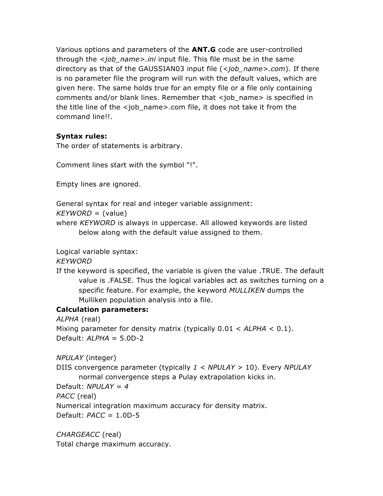Various options and parameters of the **ANT.G** code are user-controlled through the *<job\_name>.ini* input file. This file must be in the same directory as that of the GAUSSIAN03 input file (*<job\_name>.com*). If there is no parameter file the program will run with the default values, which are given here. The same holds true for an empty file or a file only containing comments and/or blank lines. Remember that <job\_name> is specified in the title line of the <job\_name>.com file, it does not take it from the command line!!.

### **Syntax rules:**

The order of statements is arbitrary.

Comment lines start with the symbol "!".

Empty lines are ignored.

General syntax for real and integer variable assignment:

*KEYWORD* = (value)

where *KEYWORD* is always in uppercase. All allowed keywords are listed below along with the default value assigned to them.

Logical variable syntax:

*KEYWORD*

If the keyword is specified, the variable is given the value .TRUE. The default value is .FALSE. Thus the logical variables act as switches turning on a specific feature. For example, the keyword *MULLIKEN* dumps the Mulliken population analysis into a file.

## **Calculation parameters:**

*ALPHA* (real) Mixing parameter for density matrix (typically 0.01 < *ALPHA* < 0.1). Default: *ALPHA* = 5.0D-2

*NPULAY* (integer)

DIIS convergence parameter (typically *1 < NPULAY* > 10). Every *NPULAY* normal convergence steps a Pulay extrapolation kicks in.

Default: *NPULAY = 4*

*PACC* (real)

Numerical integration maximum accuracy for density matrix.

Default: *PACC* = 1.0D-5

*CHARGEACC* (real) Total charge maximum accuracy.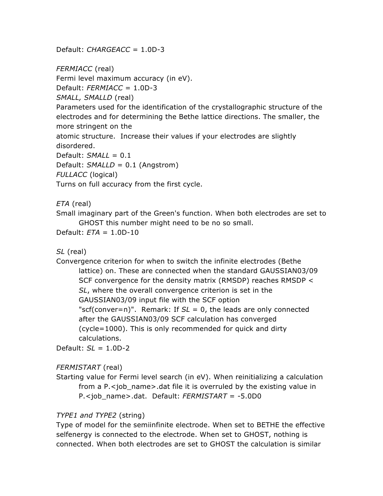Default: *CHARGEACC* = 1.0D-3

*FERMIACC* (real) Fermi level maximum accuracy (in eV). Default: *FERMIACC* = 1.0D-3 *SMALL, SMALLD* (real) Parameters used for the identification of the crystallographic structure of the electrodes and for determining the Bethe lattice directions. The smaller, the more stringent on the atomic structure. Increase their values if your electrodes are slightly disordered. Default: *SMALL* = 0.1 Default: *SMALLD* = 0.1 (Angstrom) *FULLACC* (logical) Turns on full accuracy from the first cycle.

*ETA* (real)

Small imaginary part of the Green's function. When both electrodes are set to GHOST this number might need to be no so small.

Default: *ETA* = 1.0D-10

*SL* (real)

Convergence criterion for when to switch the infinite electrodes (Bethe lattice) on. These are connected when the standard GAUSSIAN03/09 SCF convergence for the density matrix (RMSDP) reaches RMSDP < *SL*, where the overall convergence criterion is set in the GAUSSIAN03/09 input file with the SCF option "scf(conver=n)". Remark: If *SL* = 0, the leads are only connected after the GAUSSIAN03/09 SCF calculation has converged (cycle=1000). This is only recommended for quick and dirty calculations.

Default: *SL* = 1.0D-2

## *FERMISTART* (real)

Starting value for Fermi level search (in eV). When reinitializing a calculation from a  $P$ .  $\lt$ job name > .dat file it is overruled by the existing value in P.<job\_name>.dat. Default: *FERMISTART* = -5.0D0

## *TYPE1 and TYPE2* (string)

Type of model for the semiinfinite electrode. When set to BETHE the effective selfenergy is connected to the electrode. When set to GHOST, nothing is connected. When both electrodes are set to GHOST the calculation is similar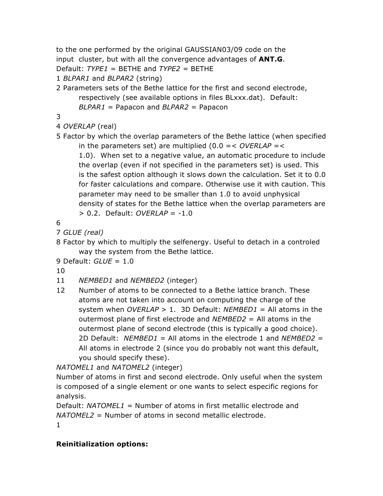to the one performed by the original GAUSSIAN03/09 code on the input cluster, but with all the convergence advantages of **ANT.G**. Default: *TYPE1* = BETHE and *TYPE2 =* BETHE

1 *BLPAR1* and *BLPAR2* (string)

2 Parameters sets of the Bethe lattice for the first and second electrode, respectively (see available options in files BLxxx.dat). Default: *BLPAR1* = Papacon and *BLPAR2* = Papacon

3

- 4 *OVERLAP* (real)
- 5 Factor by which the overlap parameters of the Bethe lattice (when specified in the parameters set) are multiplied (0.0 =< *OVERLAP* =< 1.0). When set to a negative value, an automatic procedure to include the overlap (even if not specified in the parameters set) is used. This

is the safest option although it slows down the calculation. Set it to 0.0 for faster calculations and compare. Otherwise use it with caution. This parameter may need to be smaller than 1.0 to avoid unphysical density of states for the Bethe lattice when the overlap parameters are > 0.2. Default: *OVERLAP* = -1.0

6

- 7 *GLUE (real)*
- 8 Factor by which to multiply the selfenergy. Useful to detach in a controled way the system from the Bethe lattice.

```
9 Default: GLUE = 1.0
```
10

- 11 *NEMBED1* and *NEMBED2* (integer)
- 12 Number of atoms to be connected to a Bethe lattice branch. These atoms are not taken into account on computing the charge of the system when *OVERLAP* > 1. 3D Default: *NEMBED1* = All atoms in the outermost plane of first electrode and *NEMBED2* = All atoms in the outermost plane of second electrode (this is typically a good choice). 2D Default: *NEMBED1* = All atoms in the electrode 1 and *NEMBED2* = All atoms in electrode 2 (since you do probably not want this default, you should specify these).

*NATOMEL1* and *NATOMEL2* (integer)

Number of atoms in first and second electrode. Only useful when the system is composed of a single element or one wants to select especific regions for analysis.

```
Default: NATOMEL1 = Number of atoms in first metallic electrode and 
NATOMEL2 = Number of atoms in second metallic electrode.
1
```
## **Reinitialization options:**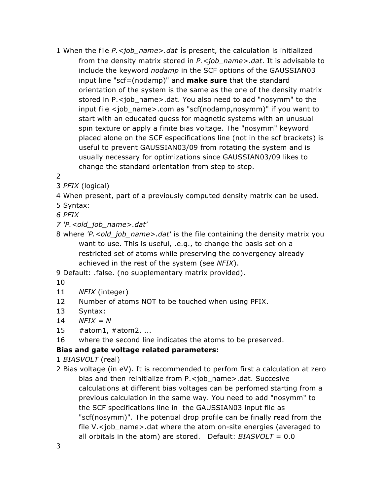- 1 When the file *P.<job\_name>.dat* is present, the calculation is initialized from the density matrix stored in *P.<job\_name>.dat*. It is advisable to include the keyword *nodamp* in the SCF options of the GAUSSIAN03 input line "scf=(nodamp)" and **make sure** that the standard orientation of the system is the same as the one of the density matrix stored in P.<job name>.dat. You also need to add "nosymm" to the input file <job\_name>.com as "scf(nodamp,nosymm)" if you want to start with an educated guess for magnetic systems with an unusual spin texture or apply a finite bias voltage. The "nosymm" keyword placed alone on the SCF especifications line (not in the scf brackets) is useful to prevent GAUSSIAN03/09 from rotating the system and is usually necessary for optimizations since GAUSSIAN03/09 likes to change the standard orientation from step to step.
- 2
- 3 *PFIX* (logical)
- 4 When present, part of a previously computed density matrix can be used.
- 5 Syntax:
- *6 PFIX*
- *7 'P.<old\_job\_name>.dat'*
- 8 where *'P.<old\_job\_name>.dat'* is the file containing the density matrix you want to use. This is useful, .e.g., to change the basis set on a restricted set of atoms while preserving the convergency already achieved in the rest of the system (see *NFIX*).
- 9 Default: .false. (no supplementary matrix provided).
- 10
- 11 *NFIX* (integer)
- 12 Number of atoms NOT to be touched when using PFIX.
- 13 Syntax:
- 14 *NFIX = N*
- 15 #atom1, #atom2, ...
- 16 where the second line indicates the atoms to be preserved.

## **Bias and gate voltage related parameters:**

1 *BIASVOLT* (real)

2 Bias voltage (in eV). It is recommended to perfom first a calculation at zero bias and then reinitialize from P.<job\_name>.dat. Succesive calculations at different bias voltages can be perfomed starting from a previous calculation in the same way. You need to add "nosymm" to the SCF specifications line in the GAUSSIAN03 input file as "scf(nosymm)". The potential drop profile can be finally read from the file V.<job\_name>.dat where the atom on-site energies (averaged to all orbitals in the atom) are stored. Default: *BIASVOLT* = 0.0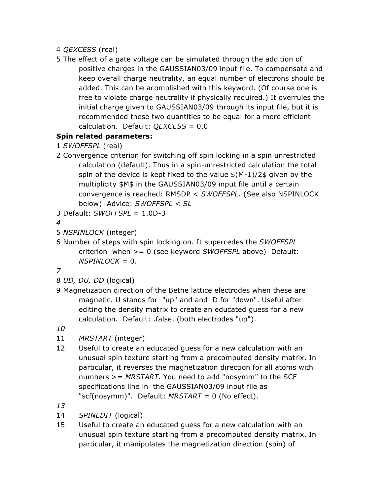- 4 *QEXCESS* (real)
- 5 The effect of a gate voltage can be simulated through the addition of positive charges in the GAUSSIAN03/09 input file. To compensate and keep overall charge neutrality, an equal number of electrons should be added. This can be acomplished with this keyword. (Of course one is free to violate charge neutrality if physically required.) It overrules the initial charge given to GAUSSIAN03/09 through its input file, but it is recommended these two quantities to be equal for a more efficient calculation. Default: *QEXCESS* = 0.0

# **Spin related parameters:**

- 1 *SWOFFSPL* (real)
- 2 Convergence criterion for switching off spin locking in a spin unrestricted calculation (default). Thus in a spin-unrestricted calculation the total spin of the device is kept fixed to the value \$(M-1)/2\$ given by the multiplicity \$M\$ in the GAUSSIAN03/09 input file until a certain convergence is reached: RMSDP < *SWOFFSPL*. (See also NSPINLOCK below) Advice: *SWOFFSPL* < *SL*
- 3 Default: *SWOFFSPL* = 1.0D-3

```
4
```
- 5 *NSPINLOCK* (integer)
- 6 Number of steps with spin locking on. It supercedes the *SWOFFSPL* criterion when >= 0 (see keyword *SWOFFSPL* above) Default:  $NSPINLOCK = 0.$

*7*

- 8 *UD, DU, DD* (logical)
- 9 Magnetization direction of the Bethe lattice electrodes when these are magnetic. U stands for "up" and and D for "down". Useful after editing the density matrix to create an educated guess for a new calculation. Default: .false. (both electrodes "up").

*10*

- 11 *MRSTART* (integer)
- 12 Useful to create an educated guess for a new calculation with an unusual spin texture starting from a precomputed density matrix. In particular, it reverses the magnetization direction for all atoms with numbers >= *MRSTART*. You need to add "nosymm" to the SCF specifications line in the GAUSSIAN03/09 input file as "scf(nosymm)". Default: *MRSTART* = 0 (No effect).
- *13*
- 14 *SPINEDIT* (logical)
- 15 Useful to create an educated guess for a new calculation with an unusual spin texture starting from a precomputed density matrix. In particular, it manipulates the magnetization direction (spin) of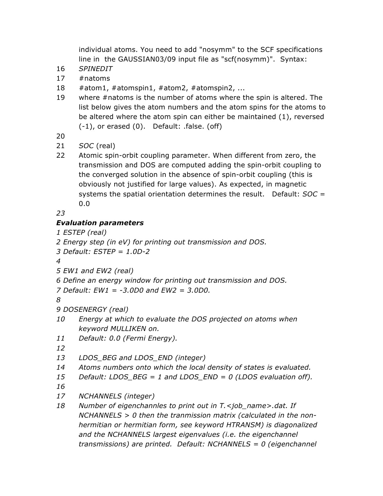individual atoms. You need to add "nosymm" to the SCF specifications line in the GAUSSIAN03/09 input file as "scf(nosymm)". Syntax:

- *SPINEDIT*
- #natoms
- #atom1, #atomspin1, #atom2, #atomspin2, ...
- where #natoms is the number of atoms where the spin is altered. The list below gives the atom numbers and the atom spins for the atoms to be altered where the atom spin can either be maintained (1), reversed (-1), or erased (0). Default: .false. (off)

- *SOC* (real)
- Atomic spin-orbit coupling parameter. When different from zero, the transmission and DOS are computed adding the spin-orbit coupling to the converged solution in the absence of spin-orbit coupling (this is obviously not justified for large values). As expected, in magnetic systems the spatial orientation determines the result. Default: *SOC* = 0.0

# *Evaluation parameters*

*ESTEP (real)*

```
2 Energy step (in eV) for printing out transmission and DOS.
```
*Default: ESTEP = 1.0D-2*

- *EW1 and EW2 (real)*
- *Define an energy window for printing out transmission and DOS.*
- *Default: EW1 = -3.0D0 and EW2 = 3.0D0.*

- *DOSENERGY (real)*
- *Energy at which to evaluate the DOS projected on atoms when keyword MULLIKEN on.*
- *Default: 0.0 (Fermi Energy).*

- *LDOS\_BEG and LDOS\_END (integer)*
- *Atoms numbers onto which the local density of states is evaluated.*
- *Default: LDOS\_BEG = 1 and LDOS\_END = 0 (LDOS evaluation off).*
- 
- *NCHANNELS (integer)*
- *Number of eigenchannles to print out in T.<job\_name>.dat. If NCHANNELS > 0 then the tranmission matrix (calculated in the nonhermitian or hermitian form, see keyword HTRANSM) is diagonalized and the NCHANNELS largest eigenvalues (i.e. the eigenchannel transmissions) are printed. Default: NCHANNELS = 0 (eigenchannel*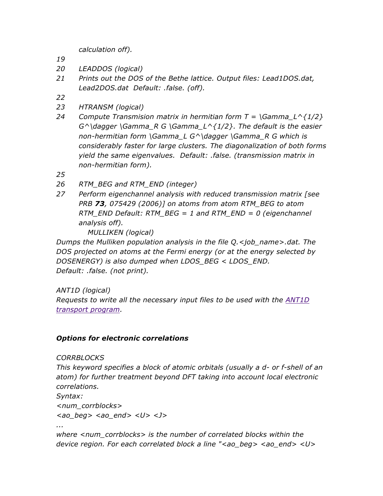*calculation off).*

- *19*
- *20 LEADDOS (logical)*
- *21 Prints out the DOS of the Bethe lattice. Output files: Lead1DOS.dat, Lead2DOS.dat Default: .false. (off).*
- *22*
- *23 HTRANSM (logical)*
- *24 Compute Transmision matrix in hermitian form T = \Gamma\_L^{1/2} G^\dagger \Gamma\_R G \Gamma\_L^{1/2}. The default is the easier non-hermitian form \Gamma\_L G^\dagger \Gamma\_R G which is considerably faster for large clusters. The diagonalization of both forms yield the same eigenvalues. Default: .false. (transmission matrix in non-hermitian form).*
- *25*
- *26 RTM\_BEG and RTM\_END (integer)*
- *27 Perform eigenchannel analysis with reduced transmission matrix [see PRB 73, 075429 (2006)] on atoms from atom RTM\_BEG to atom RTM\_END Default: RTM\_BEG = 1 and RTM\_END = 0 (eigenchannel analysis off).*

*MULLIKEN (logical)*

*Dumps the Mulliken population analysis in the file Q.<job\_name>.dat. The DOS projected on atoms at the Fermi energy (or at the energy selected by DOSENERGY) is also dumped when LDOS\_BEG < LDOS\_END. Default: .false. (not print).*

*ANT1D (logical)*

*Requests to write all the necessary input files to be used with the ANT1D transport program.* 

### *Options for electronic correlations*

#### *CORRBLOCKS*

*This keyword specifies a block of atomic orbitals (usually a d- or f-shell of an atom) for further treatment beyond DFT taking into account local electronic correlations.* 

*Syntax:*

*<num\_corrblocks>*

*<ao\_beg> <ao\_end> <U> <J>*

*...*

*where <num\_corrblocks> is the number of correlated blocks within the device region. For each correlated block a line "<ao\_beg> <ao\_end> <U>*